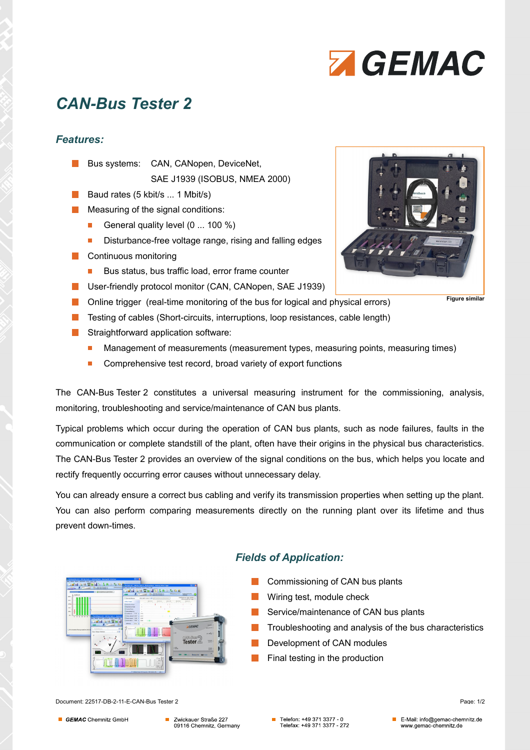# **Z GEMAC**

**Figure similar**

# *CAN-Bus Tester 2*

#### *Features:*

- $\Box$ Bus systems: CAN, CANopen, DeviceNet, SAE J1939 (ISOBUS, NMEA 2000)
- Baud rates (5 kbit/s ... 1 Mbit/s)
- Measuring of the signal conditions:
	- General quality level (0 ... 100 %) п
	- n Disturbance-free voltage range, rising and falling edges
- **Continuous monitoring** 
	- Bus status, bus traffic load, error frame counter  $\mathbf{m}$
- User-friendly protocol monitor (CAN, CANopen, SAE J1939)  $\mathcal{L}_{\mathcal{A}}$
- Online trigger (real-time monitoring of the bus for logical and physical errors)
- Testing of cables (Short-circuits, interruptions, loop resistances, cable length)
- Straightforward application software:
	- Ī. Management of measurements (measurement types, measuring points, measuring times)
	- Comprehensive test record, broad variety of export functions ×

The CAN-Bus Tester 2 constitutes a universal measuring instrument for the commissioning, analysis, monitoring, troubleshooting and service/maintenance of CAN bus plants.

Typical problems which occur during the operation of CAN bus plants, such as node failures, faults in the communication or complete standstill of the plant, often have their origins in the physical bus characteristics. The CAN-Bus Tester 2 provides an overview of the signal conditions on the bus, which helps you locate and rectify frequently occurring error causes without unnecessary delay.

You can already ensure a correct bus cabling and verify its transmission properties when setting up the plant. You can also perform comparing measurements directly on the running plant over its lifetime and thus prevent down-times.



#### *Fields of Application:*

- Commissioning of CAN bus plants  $\sim$
- Wiring test, module check
- Service/maintenance of CAN bus plants
- Troubleshooting and analysis of the bus characteristics
- Development of CAN modules
- Final testing in the production

Document: 22517-DB-2-11-E-CAN-Bus Tester 2 Page: 1/2